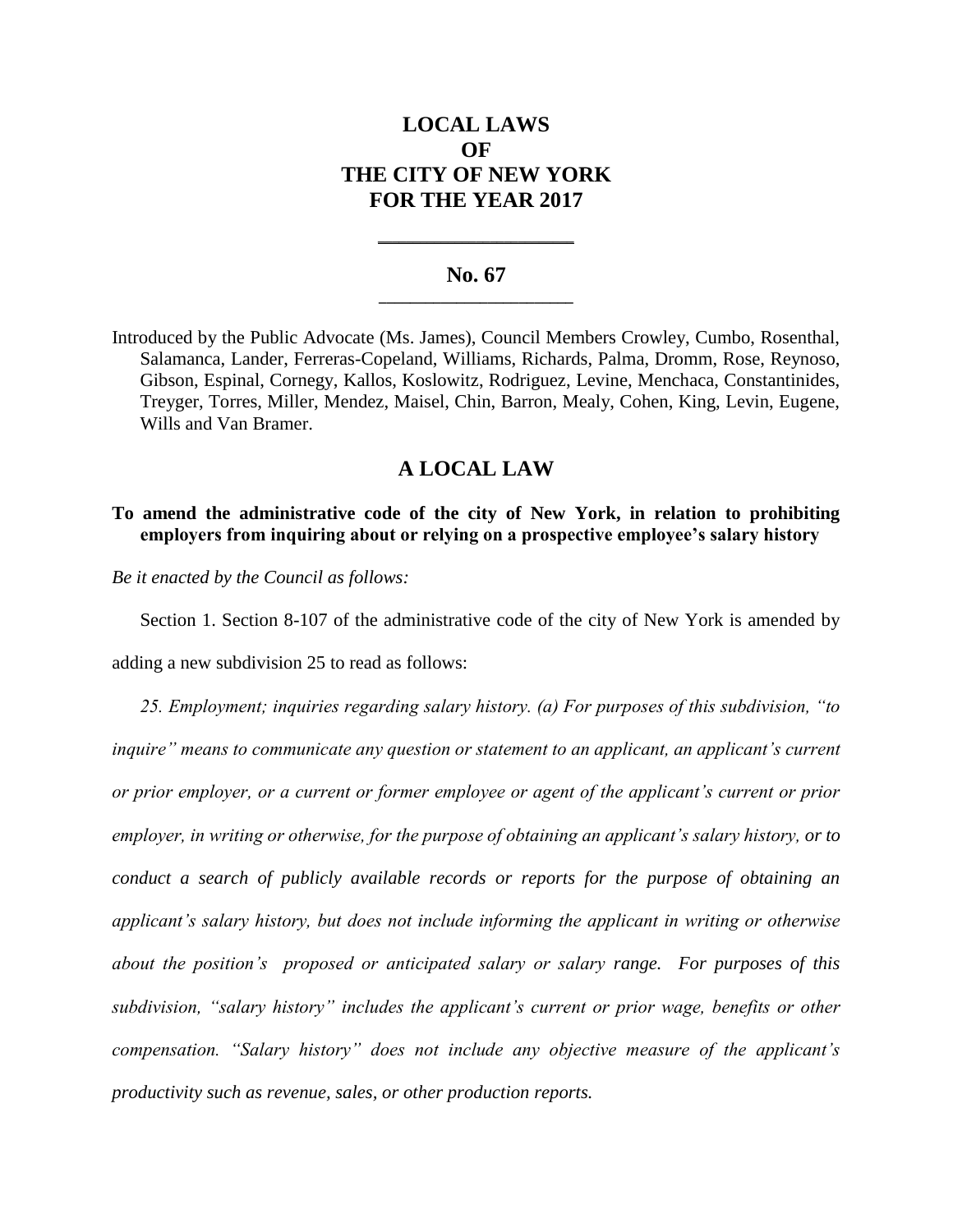# **LOCAL LAWS OF THE CITY OF NEW YORK FOR THE YEAR 2017**

### **No. 67 \_\_\_\_\_\_\_\_\_\_\_\_\_\_\_\_\_\_\_\_\_\_\_\_\_**

**\_\_\_\_\_\_\_\_\_\_\_\_\_\_\_\_\_\_\_\_\_\_\_\_\_\_\_\_**

Introduced by the Public Advocate (Ms. James), Council Members Crowley, Cumbo, Rosenthal, Salamanca, Lander, Ferreras-Copeland, Williams, Richards, Palma, Dromm, Rose, Reynoso, Gibson, Espinal, Cornegy, Kallos, Koslowitz, Rodriguez, Levine, Menchaca, Constantinides, Treyger, Torres, Miller, Mendez, Maisel, Chin, Barron, Mealy, Cohen, King, Levin, Eugene, Wills and Van Bramer.

## **A LOCAL LAW**

### **To amend the administrative code of the city of New York, in relation to prohibiting employers from inquiring about or relying on a prospective employee's salary history**

*Be it enacted by the Council as follows:*

Section 1. Section 8-107 of the administrative code of the city of New York is amended by

adding a new subdivision 25 to read as follows:

*25. Employment; inquiries regarding salary history. (a) For purposes of this subdivision, "to inquire" means to communicate any question or statement to an applicant, an applicant's current or prior employer, or a current or former employee or agent of the applicant's current or prior employer, in writing or otherwise, for the purpose of obtaining an applicant's salary history, or to conduct a search of publicly available records or reports for the purpose of obtaining an applicant's salary history, but does not include informing the applicant in writing or otherwise about the position's proposed or anticipated salary or salary range. For purposes of this subdivision, "salary history" includes the applicant's current or prior wage, benefits or other compensation. "Salary history" does not include any objective measure of the applicant's productivity such as revenue, sales, or other production reports.*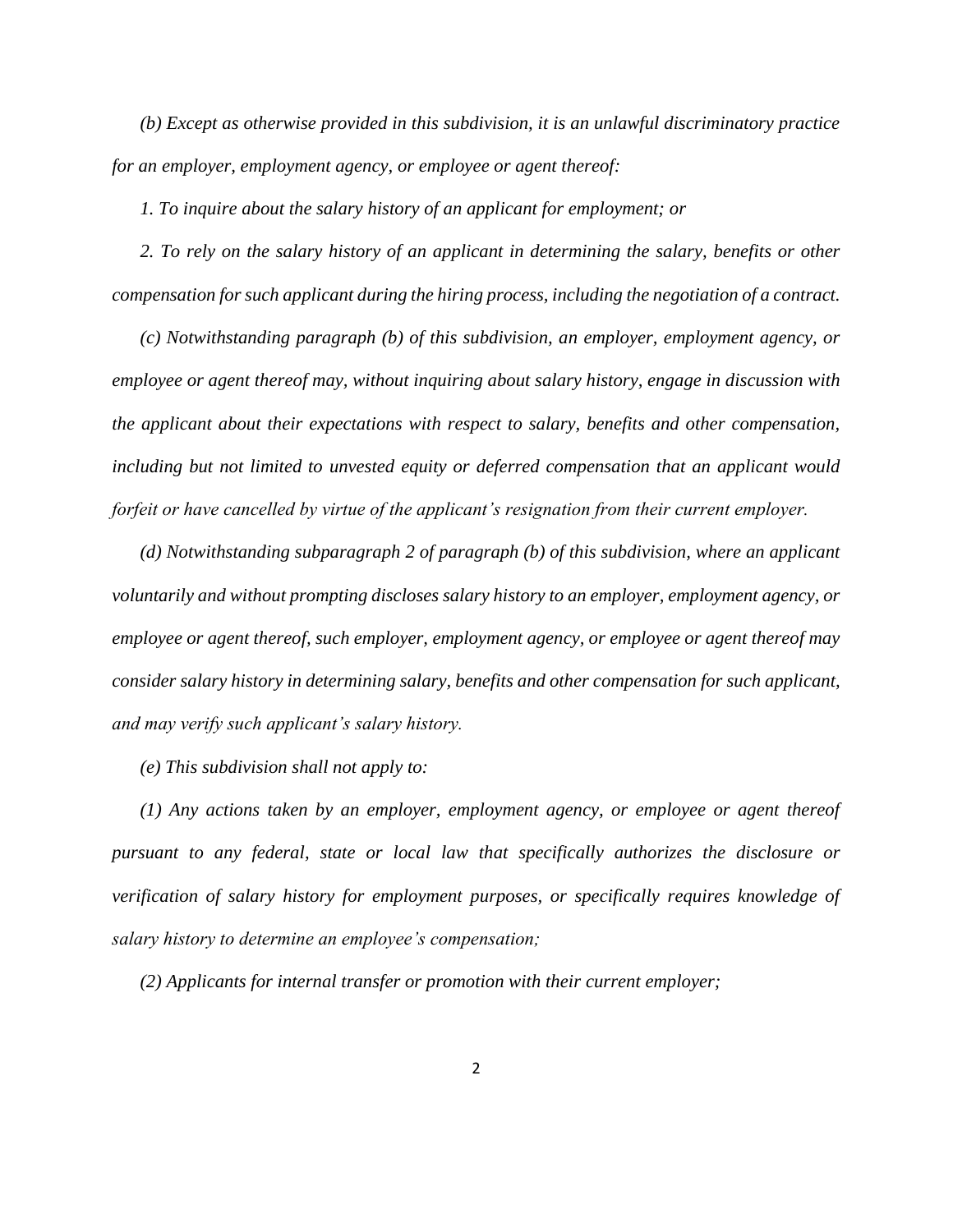*(b) Except as otherwise provided in this subdivision, it is an unlawful discriminatory practice for an employer, employment agency, or employee or agent thereof:*

*1. To inquire about the salary history of an applicant for employment; or* 

*2. To rely on the salary history of an applicant in determining the salary, benefits or other compensation for such applicant during the hiring process, including the negotiation of a contract.* 

*(c) Notwithstanding paragraph (b) of this subdivision, an employer, employment agency, or employee or agent thereof may, without inquiring about salary history, engage in discussion with the applicant about their expectations with respect to salary, benefits and other compensation, including but not limited to unvested equity or deferred compensation that an applicant would forfeit or have cancelled by virtue of the applicant's resignation from their current employer.* 

*(d) Notwithstanding subparagraph 2 of paragraph (b) of this subdivision, where an applicant voluntarily and without prompting discloses salary history to an employer, employment agency, or employee or agent thereof, such employer, employment agency, or employee or agent thereof may consider salary history in determining salary, benefits and other compensation for such applicant, and may verify such applicant's salary history.* 

*(e) This subdivision shall not apply to:* 

*(1) Any actions taken by an employer, employment agency, or employee or agent thereof pursuant to any federal, state or local law that specifically authorizes the disclosure or verification of salary history for employment purposes, or specifically requires knowledge of salary history to determine an employee's compensation;*

*(2) Applicants for internal transfer or promotion with their current employer;*